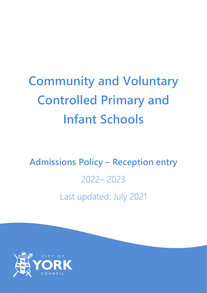# **Community and Voluntary Controlled Primary and Infant Schools**

# **Admissions Policy – Reception entry** 2022– 2023 Last updated: July 2021

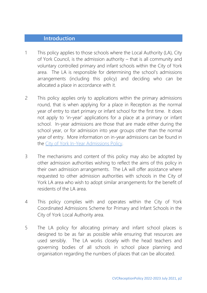#### **Introduction**

- 1 This policy applies to those schools where the Local Authority (LA), City of York Council, is the admission authority – that is all community and voluntary controlled primary and infant schools within the City of York area. The LA is responsible for determining the school's admissions arrangements (including this policy) and deciding who can be allocated a place in accordance with it.
- 2 This policy applies only to applications within the primary admissions round, that is when applying for a place in Reception as the normal year of entry to start primary or infant school for the first time. It does not apply to 'in-year' applications for a place at a primary or infant school. In-year admissions are those that are made either during the school year, or for admission into year groups other than the normal year of entry. More information on in-year admissions can be found in the [City of York In-Year Admissions Policy.](https://www.york.gov.uk/downloads/file/9564/in_year_admissions_policy)
- 3 The mechanisms and content of this policy may also be adopted by other admission authorities wishing to reflect the aims of this policy in their own admission arrangements. The LA will offer assistance where requested to other admission authorities with schools in the City of York LA area who wish to adopt similar arrangements for the benefit of residents of the LA area.
- 4 This policy complies with and operates within the City of York Coordinated Admissions Scheme for Primary and Infant Schools in the City of York Local Authority area.
- 5 The LA policy for allocating primary and infant school places is designed to be as fair as possible while ensuring that resources are used sensibly. The LA works closely with the head teachers and governing bodies of all schools in school place planning and organisation regarding the numbers of places that can be allocated.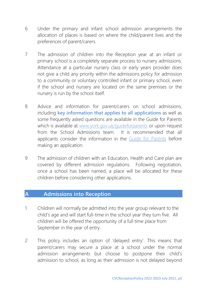- 6 Under the primary and infant school admission arrangements the allocation of places is based on where the child/parent lives and the preferences of parent/carers.
- 7 The admission of children into the Reception year at an infant or primary school is a completely separate process to nursery admissions. Attendance at a particular nursery class or early years provider does not give a child any priority within the admissions policy for admission to a community or voluntary controlled infant or primary school, even if the school and nursery are located on the same premises or the nursery is run by the school itself.
- 8 Advice and information for parent/carers on school admissions, including **key information that applies to all applications** as well as some frequently asked questions are available in the Guide for Parents which is available at [www.york.gov.uk/guideforparents](http://www.york.gov.uk/guideforparents) or upon request from the School Admissions team. It is recommended that all applicants consider the information in the [Guide for Parents](http://www.york.gov.uk/guideforparents) before making an application.
- 9 The admission of children with an Education, Health and Care plan are covered by different admission regulations. Following negotiation, once a school has been named, a place will be allocated for these children before considering other applications.

#### **A Admissions into Reception**

- 1 Children will normally be admitted into the year group relevant to the child's age and will start full-time in the school year they turn five. All children will be offered the opportunity of a full time place from September in the year of entry.
- 2 This policy includes an option of 'delayed entry'. This means that parent/carers may secure a place at a school under the normal admission arrangements but choose to postpone their child's admission to school, as long as their admission is not delayed beyond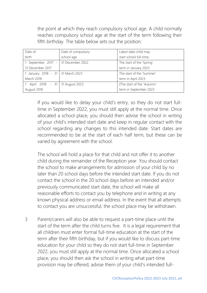the point at which they reach compulsory school age. A child normally reaches compulsory school age at the start of the term following their fifth birthday. The table below sets out the position:

| Date of                             | Date of compulsory | Latest date child may      |
|-------------------------------------|--------------------|----------------------------|
| birth                               | school age         | start school full-time     |
| 1 September 2017 - 31 December 2022 |                    | The start of the 'Spring'  |
| 31 December 2017                    |                    | term in January 2023       |
| 1 January 2018 - 31   31 March 2023 |                    | The start of the 'Summer'  |
| March 2018                          |                    | term in April 2023         |
| 1 April 2018 - 31 31 August 2023    |                    | [The start of the 'Autumn' |
| August 2018                         |                    | term in September 2023     |

If you would like to delay your child's entry, so they do not start fulltime in September 2022, you must still apply at the normal time. Once allocated a school place, you should then advise the school in writing of your child's intended start date and keep in regular contact with the school regarding any changes to this intended date. Start dates are recommended to be at the start of each half term, but these can be varied by agreement with the school.

The school will hold a place for that child and not offer it to another child during the remainder of the Reception year. You should contact the school to make arrangements for admission of your child by no later than 20 school days before the intended start date. If you do not contact the school in the 20 school days before an intended and/or previously communicated start date, the school will make all reasonable efforts to contact you by telephone and in writing at any known physical address or email address. In the event that all attempts to contact you are unsuccessful, the school place may be withdrawn.

3 Parent/carers will also be able to request a part-time place until the start of the term after the child turns five. It is a legal requirement that all children must enter formal full-time education at the start of the term after their fifth birthday, but if you would like to discuss part-time education for your child so they do not start full-time in September 2022, you must still apply at the normal time. Once allocated a school place, you should then ask the school in writing what part-time provision may be offered, advise them of your child's intended full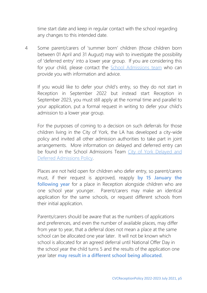time start date and keep in regular contact with the school regarding any changes to this intended date.

4 Some parent/carers of 'summer born' children (those children born between 01 April and 31 August) may wish to investigate the possibility of 'deferred entry' into a lower year group. If you are considering this for your child, please contact the [School Admissions](mailto:education@york.gov.uk) team who can provide you with information and advice.

If you would like to defer your child's entry, so they do not start in Reception in September 2022 but instead start Reception in September 2023, you must still apply at the normal time and parallel to your application, put a formal request in writing to defer your child's admission to a lower year group.

For the purposes of coming to a decision on such deferrals for those children living in the City of York, the LA has developed a city-wide policy and invited all other admission authorities to take part in joint arrangements. More information on delayed and deferred entry can be found in the School Admissions Team [City of York Delayed and](https://www.york.gov.uk/downloads/file/9565/delayed_and_deferred_admission_to_reception)  [Deferred Admissions Policy.](https://www.york.gov.uk/downloads/file/9565/delayed_and_deferred_admission_to_reception)

Places are not held open for children who defer entry, so parent/carers must, if their request is approved, reapply **by 15 January the following year** for a place in Reception alongside children who are one school year younger. Parent/carers may make an identical application for the same schools, or request different schools from their initial application.

Parents/carers should be aware that as the numbers of applications and preferences, and even the number of available places, may differ from year to year, that a deferral does not mean a place at the same school can be allocated one year later. It will not be known which school is allocated for an agreed deferral until National Offer Day in the school year the child turns 5 and the results of the application one year later **may result in a different school being allocated**.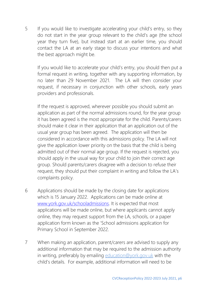5 If you would like to investigate accelerating your child's entry, so they do not start in the year group relevant to the child's age (the school year they turn five), but instead start at an earlier time, you should contact the LA at an early stage to discuss your intentions and what the best approach might be.

If you would like to accelerate your child's entry, you should then put a formal request in writing, together with any supporting information, by no later than 29 November 2021. The LA will then consider your request, if necessary in conjunction with other schools, early years providers and professionals.

If the request is approved, wherever possible you should submit an application as part of the normal admissions round, for the year group it has been agreed is the most appropriate for the child. Parents/carers should make it clear in their application that an application out of the usual year group has been agreed. The application will then be considered in accordance with this admissions policy. The LA will not give the application lower priority on the basis that the child is being admitted out of their normal age group. If the request is rejected, you should apply in the usual way for your child to join their correct age group. Should parents/carers disagree with a decision to refuse their request, they should put their complaint in writing and follow the LA's complaints policy.

- 6 Applications should be made by the closing date for applications which is 15 January 2022. Applications can be made online at [www.york.gov.uk/schooladmissions.](http://www.york.gov.uk/schooladmissions) It is expected that most applications will be made online, but where applicants cannot apply online, they may request support from the LA, schools, or a paper application form known as the 'School admissions application for Primary School in September 2022.
- 7 When making an application, parent/carers are advised to supply any additional information that may be required to the admission authority in writing, preferably by emailing [education@york.gov.uk](mailto:education@york.gov.uk) with the child's details. For example, additional information will need to be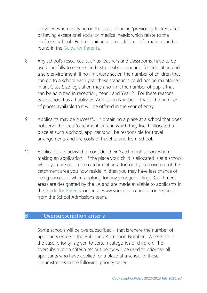provided when applying on the basis of being 'previously looked after' or having exceptional social or medical needs which relate to the preferred school. Further guidance on additional information can be found in the [Guide for Parents.](http://www.york.gov.uk/guideforparents)

- 8 Any school's resources, such as teachers and classrooms, have to be used carefully to ensure the best possible standards for education and a safe environment. If no limit were set on the number of children that can go to a school each year these standards could not be maintained. Infant Class Size legislation may also limit the number of pupils that can be admitted in reception, Year 1 and Year 2. For these reasons each school has a Published Admission Number – that is the number of places available that will be offered in the year of entry.
- 9 Applicants may be successful in obtaining a place at a school that does not serve the local 'catchment' area in which they live. If allocated a place at such a school, applicants will be responsible for travel arrangements and the costs of travel to and from school.
- 10 Applicants are advised to consider their 'catchment' school when making an application. If the place your child is allocated is at a school which you are not in the catchment area for, or if you move out of the catchment area you now reside in, then you may have less chance of being successful when applying for any younger siblings. Catchment areas are designated by the LA and are made available to applicants in the [Guide for Parents,](http://www.york.gov.uk/guideforparents) online at www.york.gov.uk and upon request from the School Admissions team.

#### **B Oversubscription criteria**

Some schools will be oversubscribed – that is where the number of applicants exceeds the Published Admission Number. Where this is the case, priority is given to certain categories of children. The oversubscription criteria set out below will be used to prioritise all applicants who have applied for a place at a school in these circumstances in the following priority order: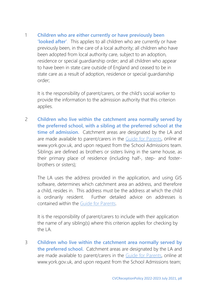1 **Children who are either currently or have previously been 'looked after'**. This applies to all children who are currently or have previously been, in the care of a local authority; all children who have been adopted from local authority care, subject to an adoption, residence or special guardianship order; and all children who appear to have been in state care outside of England and ceased to be in state care as a result of adoption, residence or special guardianship order;

It is the responsibility of parent/carers, or the child's social worker to provide the information to the admission authority that this criterion applies.

2 **Children who live within the catchment area normally served by the preferred school, with a sibling at the preferred school at the time of admission.** Catchment areas are designated by the LA and are made available to parent/carers in the [Guide for Parents,](http://www.york.gov.uk/guideforparents) online at www.york.gov.uk, and upon request from the School Admissions team. Siblings are defined as brothers or sisters living in the same house, as their primary place of residence (including half-, step- and fosterbrothers or sisters);

The LA uses the address provided in the application, and using GIS software, determines which catchment area an address, and therefore a child, resides in. This address must be the address at which the child is ordinarily resident. Further detailed advice on addresses is contained within the [Guide for Parents.](http://www.york.gov.uk/guideforparents)

It is the responsibility of parent/carers to include with their application the name of any sibling(s) where this criterion applies for checking by the LA.

3 **Children who live within the catchment area normally served by the preferred school.** Catchment areas are designated by the LA and are made available to parent/carers in the [Guide for Parents,](http://www.york.gov.uk/guideforparents) online at www.york.gov.uk, and upon request from the School Admissions team;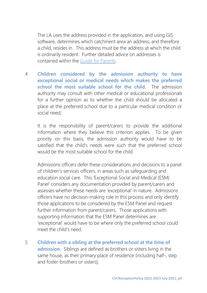The LA uses the address provided in the application, and using GIS software, determines which catchment area an address, and therefore a child, resides in. This address must be the address at which the child is ordinarily resident. Further detailed advice on addresses is contained within the [Guide for Parents.](http://www.york.gov.uk/guideforparents)

4 **Children considered by the admission authority to have exceptional social or medical needs which makes the preferred school the most suitable school for the child.** The admission authority may consult with other medical or educational professionals for a further opinion as to whether the child should be allocated a place at the preferred school due to a particular medical condition or social need;

It is the responsibility of parent/carers to provide the additional information where they believe this criterion applies. To be given priority on this basis, the admission authority would have to be satisfied that the child's needs were such that the preferred school would be the most suitable school for the child.

Admissions officers defer these considerations and decisions to a panel of children's services officers, in areas such as safeguarding and education social care. This 'Exceptional Social and Medical (ESM) Panel' considers any documentation provided by parent/carers and assesses whether these needs are 'exceptional' in nature. Admissions officers have no decision-making role in this process and only identify those applications to be considered by the ESM Panel and request further information from parent/carers. Those applications with supporting information that the ESM Panel determines are 'exceptional' would have to be where only the preferred school could meet the child's need.

5 **Children with a sibling at the preferred school at the time of admission.** Siblings are defined as brothers or sisters living in the same house, as their primary place of residence (including half-, step and foster-brothers or sisters);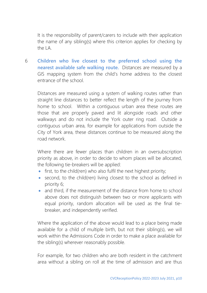It is the responsibility of parent/carers to include with their application the name of any sibling(s) where this criterion applies for checking by the LA.

6 **Children who live closest to the preferred school using the nearest available safe walking route.** Distances are measured by a GIS mapping system from the child's home address to the closest entrance of the school.

Distances are measured using a system of walking routes rather than straight line distances to better reflect the length of the journey from home to school. Within a contiguous urban area these routes are those that are properly paved and lit alongside roads and other walkways and do not include the York outer ring road. Outside a contiguous urban area, for example for applications from outside the City of York area, these distances continue to be measured along the road network.

Where there are fewer places than children in an oversubscription priority as above, in order to decide to whom places will be allocated, the following tie-breakers will be applied:

- first, to the child(ren) who also fulfil the next highest priority;
- second, to the child(ren) living closest to the school as defined in priority 6;
- and third, if the measurement of the distance from home to school above does not distinguish between two or more applicants with equal priority, random allocation will be used as the final tiebreaker, and independently verified.

Where the application of the above would lead to a place being made available for a child of multiple birth, but not their sibling(s), we will work within the Admissions Code in order to make a place available for the sibling(s) wherever reasonably possible.

For example, for two children who are both resident in the catchment area without a sibling on roll at the time of admission and are thus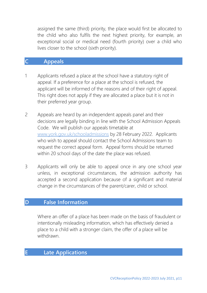assigned the same (third) priority, the place would first be allocated to the child who also fulfils the next highest priority, for example, an exceptional social or medical need (fourth priority) over a child who lives closer to the school (sixth priority).

#### **C Appeals**

- 1 Applicants refused a place at the school have a statutory right of appeal. If a preference for a place at the school is refused, the applicant will be informed of the reasons and of their right of appeal. This right does not apply if they are allocated a place but it is not in their preferred year group.
- 2 Appeals are heard by an independent appeals panel and their decisions are legally binding in line with the School Admission Appeals Code. We will publish our appeals timetable at [www.york.gov.uk/schooladmissions](http://www.york.gov.uk/schooladmissions) by 28 February 2022. Applicants who wish to appeal should contact the School Admissions team to request the correct appeal form. Appeal forms should be returned within 20 school days of the date the place was refused.
- 3 Applicants will only be able to appeal once in any one school year unless, in exceptional circumstances, the admission authority has accepted a second application because of a significant and material change in the circumstances of the parent/carer, child or school.

#### **D False Information**

Where an offer of a place has been made on the basis of fraudulent or intentionally misleading information, which has effectively denied a place to a child with a stronger claim, the offer of a place will be withdrawn.

#### **E Late Applications**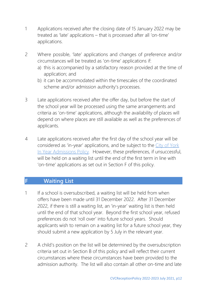- 1 Applications received after the closing date of 15 January 2022 may be treated as 'late' applications – that is processed after all 'on-time' applications.
- 2 Where possible, 'late' applications and changes of preference and/or circumstances will be treated as 'on-time' applications if:
	- a) this is accompanied by a satisfactory reason provided at the time of application; and
	- b) it can be accommodated within the timescales of the coordinated scheme and/or admission authority's processes.
- 3 Late applications received after the offer day, but before the start of the school year will be processed using the same arrangements and criteria as 'on-time' applications, although the availability of places will depend on where places are still available as well as the preferences of applicants.
- 4 Late applications received after the first day of the school year will be considered as 'in-year' applications, and be subject to the [City of York](https://www.york.gov.uk/downloads/file/9564/in_year_admissions_policy)  [In Year Admissions Policy.](https://www.york.gov.uk/downloads/file/9564/in_year_admissions_policy) However, these preferences, if unsuccessful, will be held on a waiting list until the end of the first term in line with 'on-time' applications as set out in Section F of this policy.

#### **F Waiting List**

- 1 If a school is oversubscribed, a waiting list will be held from when offers have been made until 31 December 2022. After 31 December 2022, if there is still a waiting list, an 'in-year' waiting list is then held until the end of that school year. Beyond the first school year, refused preferences do not 'roll over' into future school years. Should applicants wish to remain on a waiting list for a future school year, they should submit a new application by 5 July in the relevant year.
- 2 A child's position on the list will be determined by the oversubscription criteria set out in Section B of this policy and will reflect their current circumstances where these circumstances have been provided to the admission authority. The list will also contain all other on-time and late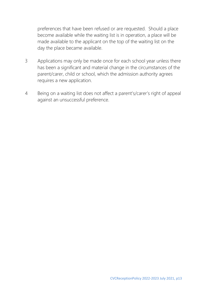preferences that have been refused or are requested. Should a place become available while the waiting list is in operation, a place will be made available to the applicant on the top of the waiting list on the day the place became available.

- 3 Applications may only be made once for each school year unless there has been a significant and material change in the circumstances of the parent/carer, child or school, which the admission authority agrees requires a new application.
- 4 Being on a waiting list does not affect a parent's/carer's right of appeal against an unsuccessful preference.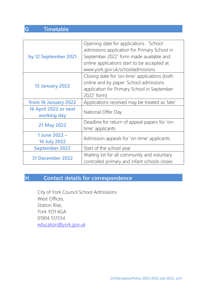# **G Timetable**

| by 12 September 2021                 | Opening date for applications. 'School<br>admissions application for Primary School in<br>September 2022' form made available and<br>online applications start to be accepted at<br>www.york.gov.uk/schooladmissions |
|--------------------------------------|----------------------------------------------------------------------------------------------------------------------------------------------------------------------------------------------------------------------|
| 15 January 2022                      | Closing date for 'on-time' applications (both<br>online and by paper 'School admissions<br>application for Primary School in September<br>2022' form)                                                                |
| from 16 January 2022                 | Applications received may be treated as 'late'                                                                                                                                                                       |
| 16 April 2022 or next<br>working day | National Offer Day                                                                                                                                                                                                   |
| 21 May 2022                          | Deadline for return of appeal papers for 'on-<br>time' applicants                                                                                                                                                    |
| 1 June 2022 -<br><b>16 July 2022</b> | Admission appeals for 'on-time' applicants                                                                                                                                                                           |
| <b>September 2022</b>                | Start of the school year                                                                                                                                                                                             |
| 31 December 2022                     | Waiting list for all community and voluntary<br>controlled primary and infant schools closes                                                                                                                         |

## **H Contact details for correspondence**

City of York Council School Admissions West Offices, Station Rise, York YO1 6GA 01904 551554 [education@york.gov.uk](mailto:education@york.gov.uk)